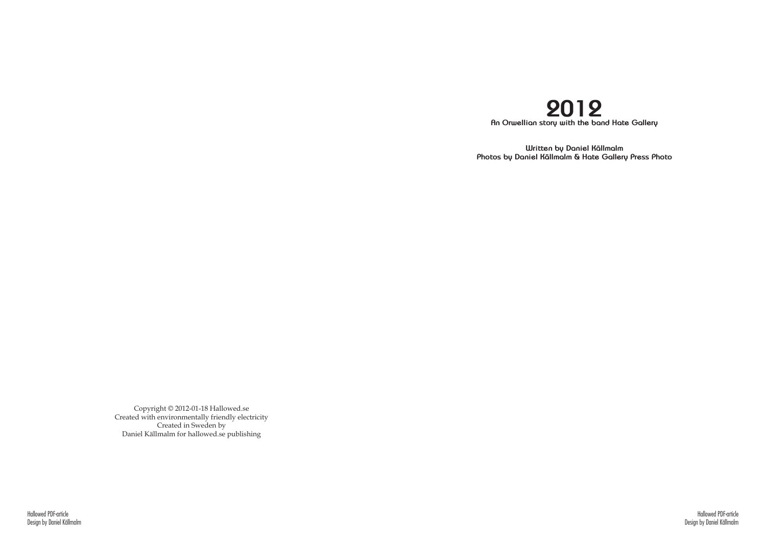Hallowed PDF-article Design by Daniel Källmalm

Copyright © 2012-01-18 Hallowed.se Created with environmentally friendly electricity Created in Sweden by Daniel Källmalm for hallowed.se publishing



**Written by Daniel Källmalm Photos by Daniel Källmalm & Hate Gallery Press Photo**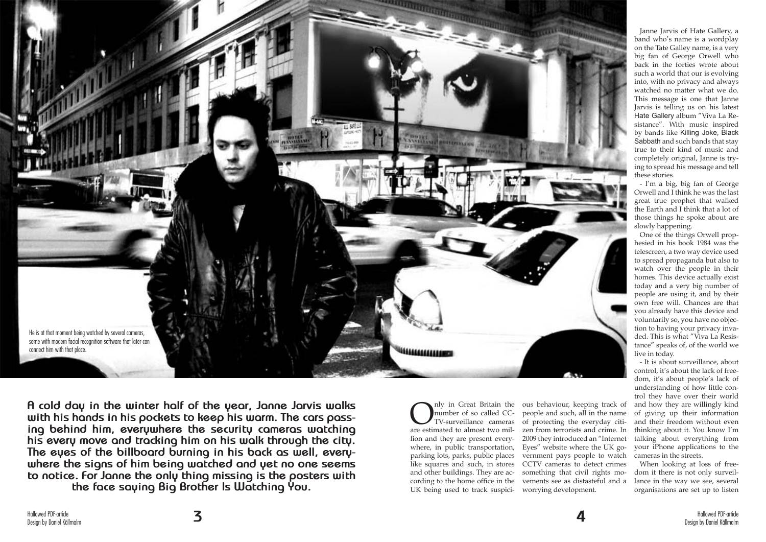

**A cold day in the winter half of the year, Janne Jarvis walks with his hands in his pockets to keep his warm. The cars passing behind him, everywhere the security cameras watching his every move and tracking him on his walk through the city. The eyes of the billboard burning in his back as well, everywhere the signs of him being watched and yet no one seems to notice. For Janne the only thing missing is the posters with the face saying Big Brother Is Watching You.**

Only in Great Britain the<br>number of so called CC-<br>TV-surveillance cameras<br>are estimated to almost two milnumber of so called CC-TV-surveillance cameras are estimated to almost two million and they are present everywhere, in public transportation, parking lots, parks, public places like squares and such, in stores and other buildings. They are according to the home office in the UK being used to track suspici-

ous behaviour, keeping track of people and such, all in the name of protecting the everyday citizen from terrorists and crime. In 2009 they introduced an "Internet Eyes" website where the UK government pays people to watch CCTV cameras to detect crimes something that civil rights movements see as distasteful and a worrying development.

Janne Jarvis of Hate Gallery, a band who's name is a wordplay on the Tate Galley name, is a very big fan of George Orwell who back in the forties wrote about such a world that our is evolving into, with no privacy and always watched no matter what we do. This message is one that Janne Jarvis is telling us on his latest Hate Gallery album "Viva La Resistance". With music inspired by bands like Killing Joke, Black Sabbath and such bands that stay true to their kind of music and completely original, Janne is trying to spread his message and tell these stories.

- I'm a big, big fan of George Orwell and I think he was the last great true prophet that walked the Earth and I think that a lot of those things he spoke about are slowly happening.

One of the things Orwell prophesied in his book 1984 was the telescreen, a two way device used to spread propaganda but also to watch over the people in their homes. This device actually exist today and a very big number of people are using it, and by their own free will. Chances are that you already have this device and voluntarily so, you have no objection to having your privacy invaded. This is what "Viva La Resistance" speaks of, of the world we live in today.

- It is about surveillance, about control, it's about the lack of freedom, it's about people's lack of understanding of how little control they have over their world and how they are willingly kind of giving up their information and their freedom without even thinking about it. You know I'm talking about everything from your iPhone applications to the cameras in the streets.

When looking at loss of freedom it there is not only surveillance in the way we see, several organisations are set up to listen

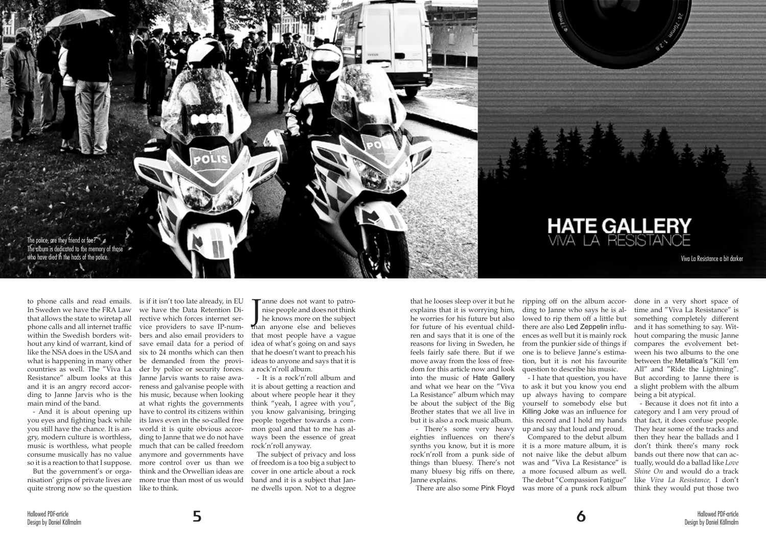to phone calls and read emails. In Sweden we have the FRA Law that allows the state to wiretap all phone calls and all internet traffic within the Swedish borders without any kind of warrant, kind of like the NSA does in the USA and what is happening in many other be demanded from the provi-Resistance" album looks at this and it is an angry record accormain mind of the band.

- And it is about opening up you eyes and fighting back while you still have the chance. It is angry, modern culture is worthless, music is worthless, what people consume musically has no value so it is a reaction to that I suppose.

Than all open and does not think<br>the knows more on the subject<br>than anyone else and believes anne does not want to patronise people and does not think he knows more on the subject that most people have a vague idea of what's going on and says that he doesn't want to preach his ideas to anyone and says that it is a rock'n'roll album.

countries as well. The "Viva La der by police or security forces. ding to Janne Jarvis who is the his music, because when looking But the government's or orga-think and the Orwellian ideas are nisation' grips of private lives are more true than most of us would is if it isn't too late already, in EU we have the Data Retention Directive which forces internet service providers to save IP-numbers and also email providers to save email data for a period of six to 24 months which can then Janne Jarvis wants to raise awareness and galvanise people with at what rights the governments have to control its citizens within its laws even in the so-called free world it is quite obvious according to Janne that we do not have much that can be called freedom anymore and governments have more control over us than we

quite strong now so the question like to think.

- It is a rock'n'roll album and it is about getting a reaction and about where people hear it they think "yeah, I agree with you", you know galvanising, bringing people together towards a common goal and that to me has always been the essence of great rock'n'roll anyway.

The subject of privacy and loss of freedom is a too big a subject to cover in one article about a rock band and it is a subject that Janne dwells upon. Not to a degree

that he looses sleep over it but he explains that it is worrying him, he worries for his future but also for future of his eventual children and says that it is one of the reasons for living in Sweden, he feels fairly safe there. But if we move away from the loss of freedom for this article now and look into the music of Hate Gallery and what we hear on the "Viva to ask it but you know you end La Resistance" album which may be about the subject of the Big yourself to somebody else but Brother states that we all live in but it is also a rock music album.

- There's some very heavy eighties influences on there's synths you know, but it is more rock'n'roll from a punk side of things than bluesy. There's not many bluesy big riffs on there, a more focused album as well. Janne explains.

ripping off on the album according to Janne who says he is allowed to rip them off a little but there are also Led Zeppelin influences as well but it is mainly rock from the punkier side of things if one is to believe Janne's estimation, but it is not his favourite question to describe his music.

- I hate that question, you have up always having to compare Killing Joke was an influence for this record and I hold my hands up and say that loud and proud. Compared to the debut album

it is a more mature album, it is not naive like the debut album was and "Viva La Resistance" is The debut "Compassion Fatigue"

There are also some Pink Floyd was more of a punk rock album think they would put those two - Because it does not fit into a category and I am very proud of that fact, it does confuse people. They hear some of the tracks and then they hear the ballads and I don't think there's many rock bands out there now that can actually, would do a ballad like *Love Shine On* and would do a track like *Viva La Resistance,* I don't

done in a very short space of time and "Viva La Resistance" is something completely different and it has something to say. Without comparing the music Janne compares the evolvement between his two albums to the one between the Metallica's "Kill 'em All" and "Ride the Lightning". But according to Janne there is a slight problem with the album being a bit atypical.